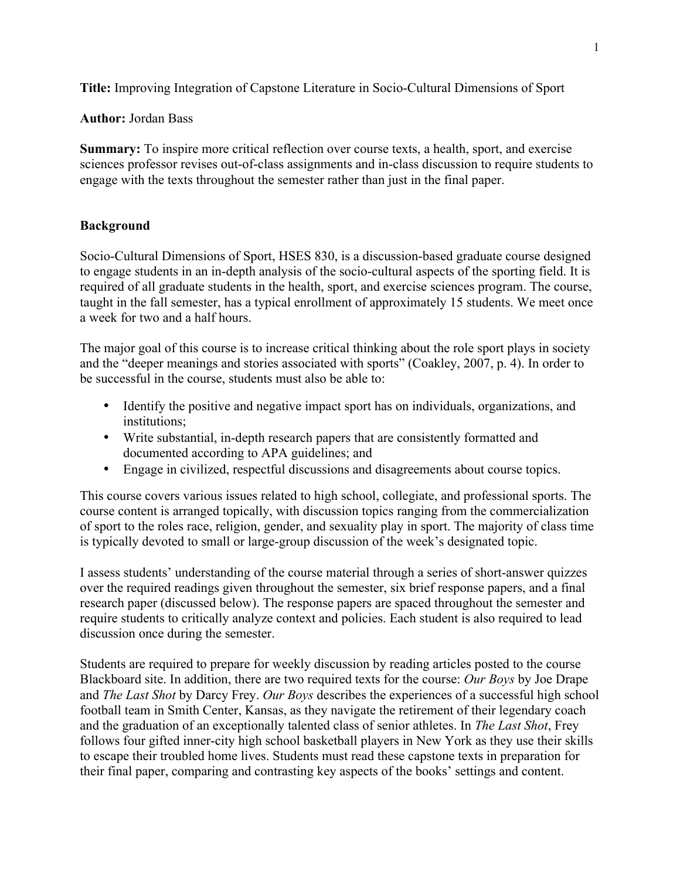**Title:** Improving Integration of Capstone Literature in Socio-Cultural Dimensions of Sport

## **Author:** Jordan Bass

**Summary:** To inspire more critical reflection over course texts, a health, sport, and exercise sciences professor revises out-of-class assignments and in-class discussion to require students to engage with the texts throughout the semester rather than just in the final paper.

# **Background**

Socio-Cultural Dimensions of Sport, HSES 830, is a discussion-based graduate course designed to engage students in an in-depth analysis of the socio-cultural aspects of the sporting field. It is required of all graduate students in the health, sport, and exercise sciences program. The course, taught in the fall semester, has a typical enrollment of approximately 15 students. We meet once a week for two and a half hours.

The major goal of this course is to increase critical thinking about the role sport plays in society and the "deeper meanings and stories associated with sports" (Coakley, 2007, p. 4). In order to be successful in the course, students must also be able to:

- Identify the positive and negative impact sport has on individuals, organizations, and institutions;
- Write substantial, in-depth research papers that are consistently formatted and documented according to APA guidelines; and
- Engage in civilized, respectful discussions and disagreements about course topics.

This course covers various issues related to high school, collegiate, and professional sports. The course content is arranged topically, with discussion topics ranging from the commercialization of sport to the roles race, religion, gender, and sexuality play in sport. The majority of class time is typically devoted to small or large-group discussion of the week's designated topic.

I assess students' understanding of the course material through a series of short-answer quizzes over the required readings given throughout the semester, six brief response papers, and a final research paper (discussed below). The response papers are spaced throughout the semester and require students to critically analyze context and policies. Each student is also required to lead discussion once during the semester.

Students are required to prepare for weekly discussion by reading articles posted to the course Blackboard site. In addition, there are two required texts for the course: *Our Boys* by Joe Drape and *The Last Shot* by Darcy Frey. *Our Boys* describes the experiences of a successful high school football team in Smith Center, Kansas, as they navigate the retirement of their legendary coach and the graduation of an exceptionally talented class of senior athletes. In *The Last Shot*, Frey follows four gifted inner-city high school basketball players in New York as they use their skills to escape their troubled home lives. Students must read these capstone texts in preparation for their final paper, comparing and contrasting key aspects of the books' settings and content.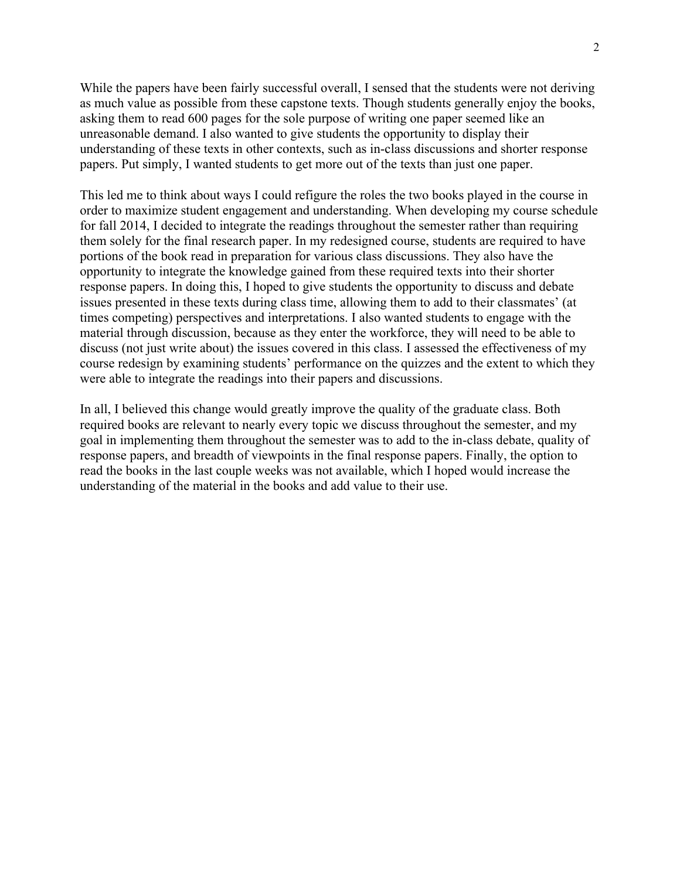While the papers have been fairly successful overall, I sensed that the students were not deriving as much value as possible from these capstone texts. Though students generally enjoy the books, asking them to read 600 pages for the sole purpose of writing one paper seemed like an unreasonable demand. I also wanted to give students the opportunity to display their understanding of these texts in other contexts, such as in-class discussions and shorter response papers. Put simply, I wanted students to get more out of the texts than just one paper.

This led me to think about ways I could refigure the roles the two books played in the course in order to maximize student engagement and understanding. When developing my course schedule for fall 2014, I decided to integrate the readings throughout the semester rather than requiring them solely for the final research paper. In my redesigned course, students are required to have portions of the book read in preparation for various class discussions. They also have the opportunity to integrate the knowledge gained from these required texts into their shorter response papers. In doing this, I hoped to give students the opportunity to discuss and debate issues presented in these texts during class time, allowing them to add to their classmates' (at times competing) perspectives and interpretations. I also wanted students to engage with the material through discussion, because as they enter the workforce, they will need to be able to discuss (not just write about) the issues covered in this class. I assessed the effectiveness of my course redesign by examining students' performance on the quizzes and the extent to which they were able to integrate the readings into their papers and discussions.

In all, I believed this change would greatly improve the quality of the graduate class. Both required books are relevant to nearly every topic we discuss throughout the semester, and my goal in implementing them throughout the semester was to add to the in-class debate, quality of response papers, and breadth of viewpoints in the final response papers. Finally, the option to read the books in the last couple weeks was not available, which I hoped would increase the understanding of the material in the books and add value to their use.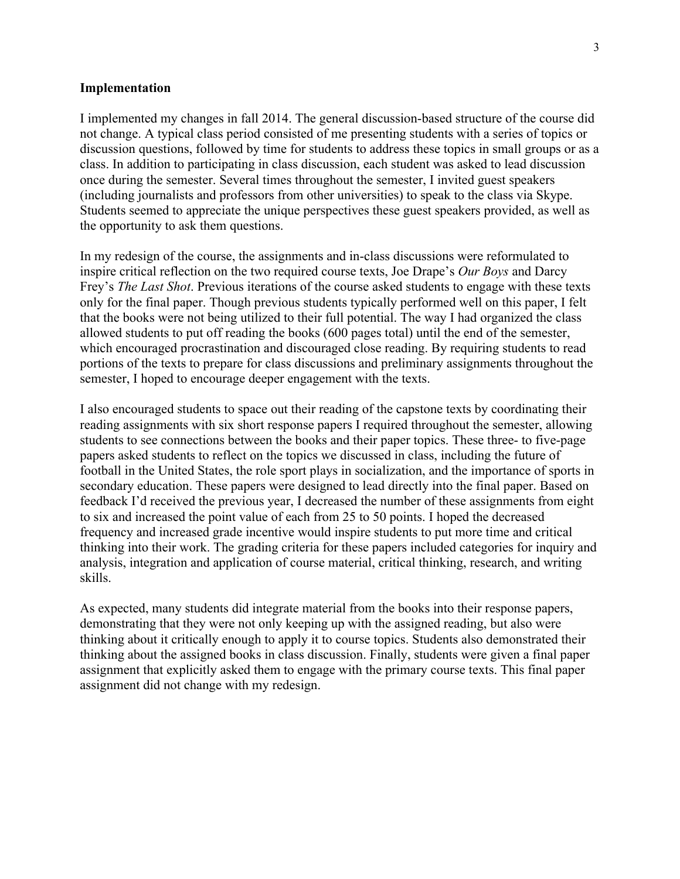#### **Implementation**

I implemented my changes in fall 2014. The general discussion-based structure of the course did not change. A typical class period consisted of me presenting students with a series of topics or discussion questions, followed by time for students to address these topics in small groups or as a class. In addition to participating in class discussion, each student was asked to lead discussion once during the semester. Several times throughout the semester, I invited guest speakers (including journalists and professors from other universities) to speak to the class via Skype. Students seemed to appreciate the unique perspectives these guest speakers provided, as well as the opportunity to ask them questions.

In my redesign of the course, the assignments and in-class discussions were reformulated to inspire critical reflection on the two required course texts, Joe Drape's *Our Boys* and Darcy Frey's *The Last Shot*. Previous iterations of the course asked students to engage with these texts only for the final paper. Though previous students typically performed well on this paper, I felt that the books were not being utilized to their full potential. The way I had organized the class allowed students to put off reading the books (600 pages total) until the end of the semester, which encouraged procrastination and discouraged close reading. By requiring students to read portions of the texts to prepare for class discussions and preliminary assignments throughout the semester, I hoped to encourage deeper engagement with the texts.

I also encouraged students to space out their reading of the capstone texts by coordinating their reading assignments with six short response papers I required throughout the semester, allowing students to see connections between the books and their paper topics. These three- to five-page papers asked students to reflect on the topics we discussed in class, including the future of football in the United States, the role sport plays in socialization, and the importance of sports in secondary education. These papers were designed to lead directly into the final paper. Based on feedback I'd received the previous year, I decreased the number of these assignments from eight to six and increased the point value of each from 25 to 50 points. I hoped the decreased frequency and increased grade incentive would inspire students to put more time and critical thinking into their work. The grading criteria for these papers included categories for inquiry and analysis, integration and application of course material, critical thinking, research, and writing skills.

As expected, many students did integrate material from the books into their response papers, demonstrating that they were not only keeping up with the assigned reading, but also were thinking about it critically enough to apply it to course topics. Students also demonstrated their thinking about the assigned books in class discussion. Finally, students were given a final paper assignment that explicitly asked them to engage with the primary course texts. This final paper assignment did not change with my redesign.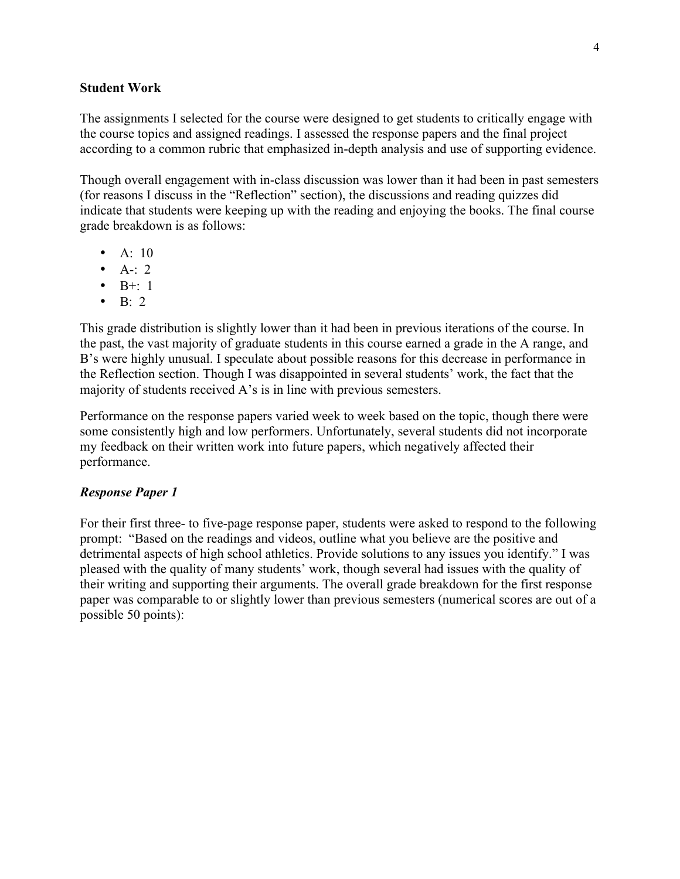#### **Student Work**

The assignments I selected for the course were designed to get students to critically engage with the course topics and assigned readings. I assessed the response papers and the final project according to a common rubric that emphasized in-depth analysis and use of supporting evidence.

Though overall engagement with in-class discussion was lower than it had been in past semesters (for reasons I discuss in the "Reflection" section), the discussions and reading quizzes did indicate that students were keeping up with the reading and enjoying the books. The final course grade breakdown is as follows:

- $A: 10$
- $A-1$ : 2
- $\bullet$  B+: 1
- B: 2

This grade distribution is slightly lower than it had been in previous iterations of the course. In the past, the vast majority of graduate students in this course earned a grade in the A range, and B's were highly unusual. I speculate about possible reasons for this decrease in performance in the Reflection section. Though I was disappointed in several students' work, the fact that the majority of students received A's is in line with previous semesters.

Performance on the response papers varied week to week based on the topic, though there were some consistently high and low performers. Unfortunately, several students did not incorporate my feedback on their written work into future papers, which negatively affected their performance.

## *Response Paper 1*

For their first three- to five-page response paper, students were asked to respond to the following prompt: "Based on the readings and videos, outline what you believe are the positive and detrimental aspects of high school athletics. Provide solutions to any issues you identify." I was pleased with the quality of many students' work, though several had issues with the quality of their writing and supporting their arguments. The overall grade breakdown for the first response paper was comparable to or slightly lower than previous semesters (numerical scores are out of a possible 50 points):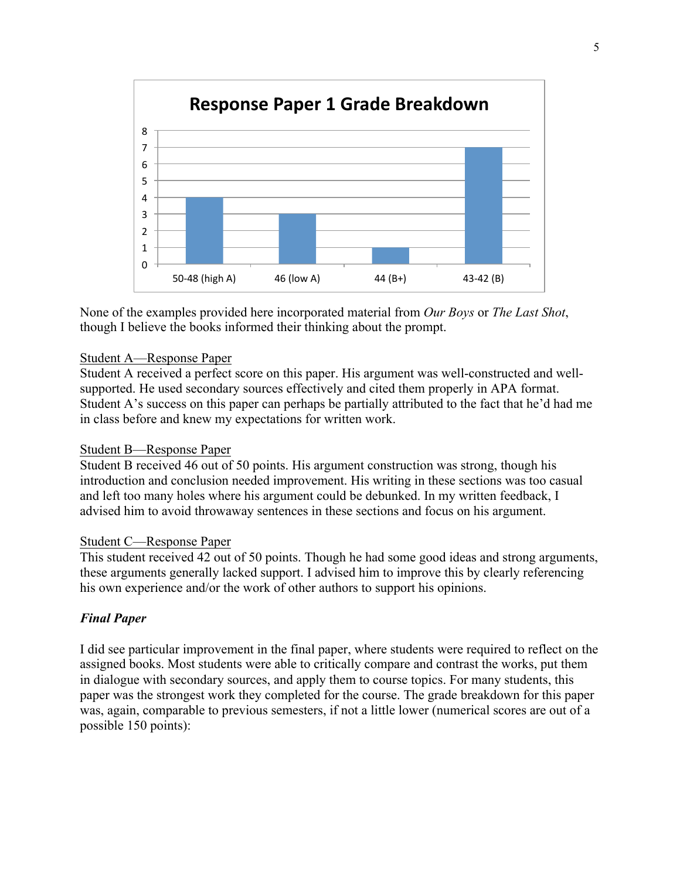

None of the examples provided here incorporated material from *Our Boys* or *The Last Shot*, though I believe the books informed their thinking about the prompt.

### Student A—Response Paper

Student A received a perfect score on this paper. His argument was well-constructed and wellsupported. He used secondary sources effectively and cited them properly in APA format. Student A's success on this paper can perhaps be partially attributed to the fact that he'd had me in class before and knew my expectations for written work.

#### Student B—Response Paper

Student B received 46 out of 50 points. His argument construction was strong, though his introduction and conclusion needed improvement. His writing in these sections was too casual and left too many holes where his argument could be debunked. In my written feedback, I advised him to avoid throwaway sentences in these sections and focus on his argument.

#### Student C—Response Paper

This student received 42 out of 50 points. Though he had some good ideas and strong arguments, these arguments generally lacked support. I advised him to improve this by clearly referencing his own experience and/or the work of other authors to support his opinions.

## *Final Paper*

I did see particular improvement in the final paper, where students were required to reflect on the assigned books. Most students were able to critically compare and contrast the works, put them in dialogue with secondary sources, and apply them to course topics. For many students, this paper was the strongest work they completed for the course. The grade breakdown for this paper was, again, comparable to previous semesters, if not a little lower (numerical scores are out of a possible 150 points):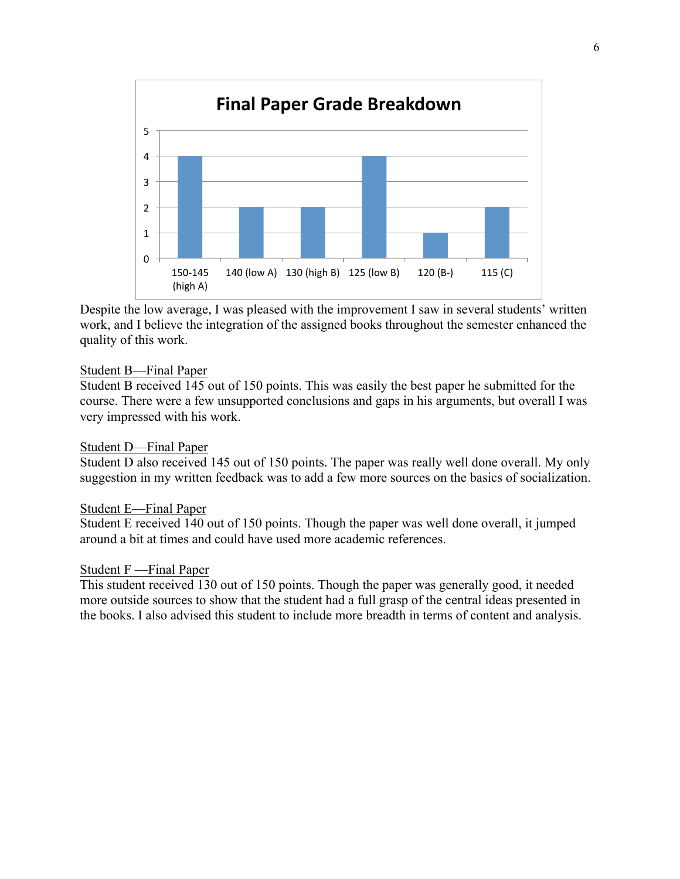

Despite the low average, I was pleased with the improvement I saw in several students' written work, and I believe the integration of the assigned books throughout the semester enhanced the quality of this work.

### Student B—Final Paper

Student B received 145 out of 150 points. This was easily the best paper he submitted for the course. There were a few unsupported conclusions and gaps in his arguments, but overall I was very impressed with his work.

#### Student D—Final Paper

Student D also received 145 out of 150 points. The paper was really well done overall. My only suggestion in my written feedback was to add a few more sources on the basics of socialization.

#### Student E—Final Paper

Student E received 140 out of 150 points. Though the paper was well done overall, it jumped around a bit at times and could have used more academic references.

### Student F —Final Paper

This student received 130 out of 150 points. Though the paper was generally good, it needed more outside sources to show that the student had a full grasp of the central ideas presented in the books. I also advised this student to include more breadth in terms of content and analysis.